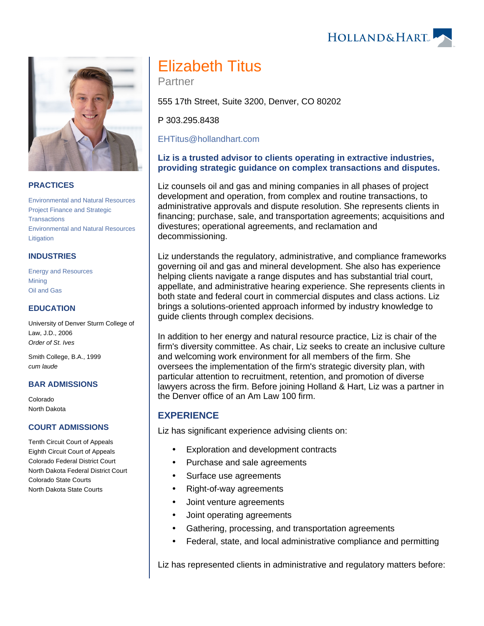HOLLAND& HART



#### **PRACTICES**

[Environmental and Natural Resources](https://www.hollandhart.com/19667) [Project Finance and Strategic](https://www.hollandhart.com/28503)  **[Transactions](https://www.hollandhart.com/28503)** [Environmental and Natural Resources](https://www.hollandhart.com/19745)  **[Litigation](https://www.hollandhart.com/19745)** 

#### **INDUSTRIES**

[Energy and Resources](https://www.hollandhart.com/28508) **[Mining](https://www.hollandhart.com/19708)** [Oil and Gas](https://www.hollandhart.com/19705)

#### **EDUCATION**

University of Denver Sturm College of Law, J.D., 2006 Order of St. Ives

Smith College, B.A., 1999 cum laude

#### **BAR ADMISSIONS**

Colorado North Dakota

#### **COURT ADMISSIONS**

Tenth Circuit Court of Appeals Eighth Circuit Court of Appeals Colorado Federal District Court North Dakota Federal District Court Colorado State Courts North Dakota State Courts

# Elizabeth Titus

Partner

555 17th Street, Suite 3200, Denver, CO 80202

P 303.295.8438

[EHTitus@hollandhart.com](mailto:EHTitus@hollandhart.com) 

### **Liz is a trusted advisor to clients operating in extractive industries, providing strategic guidance on complex transactions and disputes.**

Liz counsels oil and gas and mining companies in all phases of project development and operation, from complex and routine transactions, to administrative approvals and dispute resolution. She represents clients in financing; purchase, sale, and transportation agreements; acquisitions and divestures; operational agreements, and reclamation and decommissioning.

Liz understands the regulatory, administrative, and compliance frameworks governing oil and gas and mineral development. She also has experience helping clients navigate a range disputes and has substantial trial court, appellate, and administrative hearing experience. She represents clients in both state and federal court in commercial disputes and class actions. Liz brings a solutions-oriented approach informed by industry knowledge to guide clients through complex decisions.

In addition to her energy and natural resource practice, Liz is chair of the firm's diversity committee. As chair, Liz seeks to create an inclusive culture and welcoming work environment for all members of the firm. She oversees the implementation of the firm's strategic diversity plan, with particular attention to recruitment, retention, and promotion of diverse lawyers across the firm. Before joining Holland & Hart, Liz was a partner in the Denver office of an Am Law 100 firm.

## **EXPERIENCE**

Liz has significant experience advising clients on:

- Exploration and development contracts
- Purchase and sale agreements
- Surface use agreements
- Right-of-way agreements
- Joint venture agreements
- Joint operating agreements
- Gathering, processing, and transportation agreements
- Federal, state, and local administrative compliance and permitting

Liz has represented clients in administrative and regulatory matters before: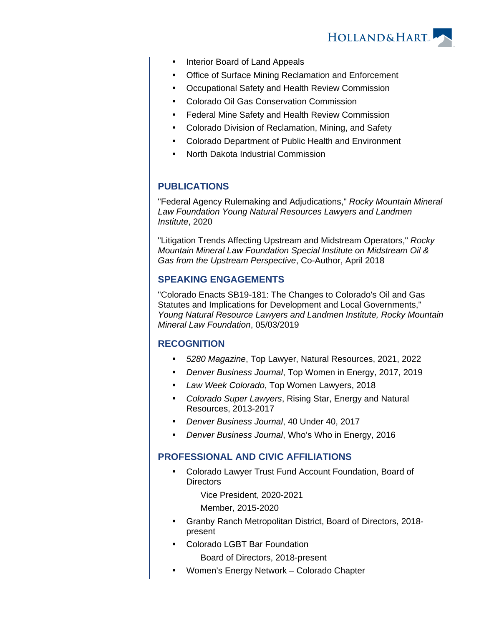

- Interior Board of Land Appeals
- Office of Surface Mining Reclamation and Enforcement
- Occupational Safety and Health Review Commission
- Colorado Oil Gas Conservation Commission
- Federal Mine Safety and Health Review Commission
- Colorado Division of Reclamation, Mining, and Safety
- Colorado Department of Public Health and Environment
- North Dakota Industrial Commission

# **PUBLICATIONS**

"Federal Agency Rulemaking and Adjudications," Rocky Mountain Mineral Law Foundation Young Natural Resources Lawyers and Landmen Institute, 2020

"Litigation Trends Affecting Upstream and Midstream Operators," Rocky Mountain Mineral Law Foundation Special Institute on Midstream Oil & Gas from the Upstream Perspective, Co-Author, April 2018

## **SPEAKING ENGAGEMENTS**

"Colorado Enacts SB19-181: The Changes to Colorado's Oil and Gas Statutes and Implications for Development and Local Governments," Young Natural Resource Lawyers and Landmen Institute, Rocky Mountain Mineral Law Foundation, 05/03/2019

## **RECOGNITION**

- 5280 Magazine, Top Lawyer, Natural Resources, 2021, 2022
- Denver Business Journal, Top Women in Energy, 2017, 2019
- Law Week Colorado, Top Women Lawyers, 2018
- Colorado Super Lawyers, Rising Star, Energy and Natural Resources, 2013-2017
- Denver Business Journal, 40 Under 40, 2017
- Denver Business Journal, Who's Who in Energy, 2016

## **PROFESSIONAL AND CIVIC AFFILIATIONS**

 Colorado Lawyer Trust Fund Account Foundation, Board of **Directors** 

Vice President, 2020-2021

Member, 2015-2020

- Granby Ranch Metropolitan District, Board of Directors, 2018 present
- Colorado LGBT Bar Foundation

Board of Directors, 2018-present

Women's Energy Network – Colorado Chapter